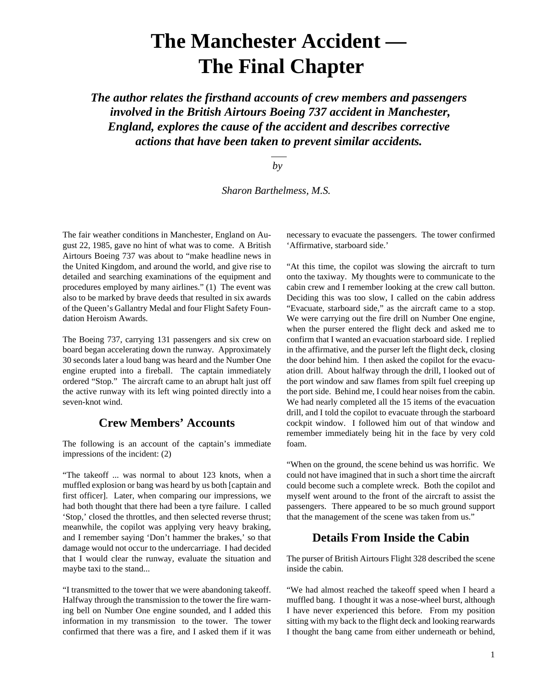# **The Manchester Accident — The Final Chapter**

*The author relates the firsthand accounts of crew members and passengers involved in the British Airtours Boeing 737 accident in Manchester, England, explores the cause of the accident and describes corrective actions that have been taken to prevent similar accidents.*

 *by*

 *Sharon Barthelmess, M.S.*

The fair weather conditions in Manchester, England on August 22, 1985, gave no hint of what was to come. A British Airtours Boeing 737 was about to "make headline news in the United Kingdom, and around the world, and give rise to detailed and searching examinations of the equipment and procedures employed by many airlines." (1) The event was also to be marked by brave deeds that resulted in six awards of the Queen's Gallantry Medal and four Flight Safety Foundation Heroism Awards.

The Boeing 737, carrying 131 passengers and six crew on board began accelerating down the runway. Approximately 30 seconds later a loud bang was heard and the Number One engine erupted into a fireball. The captain immediately ordered "Stop." The aircraft came to an abrupt halt just off the active runway with its left wing pointed directly into a seven-knot wind.

### **Crew Members' Accounts**

The following is an account of the captain's immediate impressions of the incident: (2)

"The takeoff ... was normal to about 123 knots, when a muffled explosion or bang was heard by us both [captain and first officer]. Later, when comparing our impressions, we had both thought that there had been a tyre failure. I called 'Stop,' closed the throttles, and then selected reverse thrust; meanwhile, the copilot was applying very heavy braking, and I remember saying 'Don't hammer the brakes,' so that damage would not occur to the undercarriage. I had decided that I would clear the runway, evaluate the situation and maybe taxi to the stand...

"I transmitted to the tower that we were abandoning takeoff. Halfway through the transmission to the tower the fire warning bell on Number One engine sounded, and I added this information in my transmission to the tower. The tower confirmed that there was a fire, and I asked them if it was necessary to evacuate the passengers. The tower confirmed 'Affirmative, starboard side.'

"At this time, the copilot was slowing the aircraft to turn onto the taxiway. My thoughts were to communicate to the cabin crew and I remember looking at the crew call button. Deciding this was too slow, I called on the cabin address "Evacuate, starboard side," as the aircraft came to a stop. We were carrying out the fire drill on Number One engine, when the purser entered the flight deck and asked me to confirm that I wanted an evacuation starboard side. I replied in the affirmative, and the purser left the flight deck, closing the door behind him. I then asked the copilot for the evacuation drill. About halfway through the drill, I looked out of the port window and saw flames from spilt fuel creeping up the port side. Behind me, I could hear noises from the cabin. We had nearly completed all the 15 items of the evacuation drill, and I told the copilot to evacuate through the starboard cockpit window. I followed him out of that window and remember immediately being hit in the face by very cold foam.

"When on the ground, the scene behind us was horrific. We could not have imagined that in such a short time the aircraft could become such a complete wreck. Both the copilot and myself went around to the front of the aircraft to assist the passengers. There appeared to be so much ground support that the management of the scene was taken from us."

### **Details From Inside the Cabin**

The purser of British Airtours Flight 328 described the scene inside the cabin.

"We had almost reached the takeoff speed when I heard a muffled bang. I thought it was a nose-wheel burst, although I have never experienced this before. From my position sitting with my back to the flight deck and looking rearwards I thought the bang came from either underneath or behind,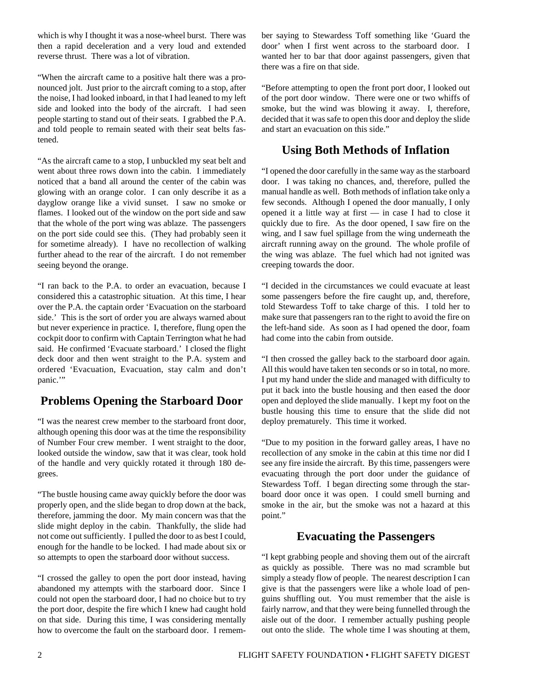which is why I thought it was a nose-wheel burst. There was then a rapid deceleration and a very loud and extended reverse thrust. There was a lot of vibration.

"When the aircraft came to a positive halt there was a pronounced jolt. Just prior to the aircraft coming to a stop, after the noise, I had looked inboard, in that I had leaned to my left side and looked into the body of the aircraft. I had seen people starting to stand out of their seats. I grabbed the P.A. and told people to remain seated with their seat belts fastened.

"As the aircraft came to a stop, I unbuckled my seat belt and went about three rows down into the cabin. I immediately noticed that a band all around the center of the cabin was glowing with an orange color. I can only describe it as a dayglow orange like a vivid sunset. I saw no smoke or flames. I looked out of the window on the port side and saw that the whole of the port wing was ablaze. The passengers on the port side could see this. (They had probably seen it for sometime already). I have no recollection of walking further ahead to the rear of the aircraft. I do not remember seeing beyond the orange.

"I ran back to the P.A. to order an evacuation, because I considered this a catastrophic situation. At this time, I hear over the P.A. the captain order 'Evacuation on the starboard side.' This is the sort of order you are always warned about but never experience in practice. I, therefore, flung open the cockpit door to confirm with Captain Terrington what he had said. He confirmed 'Evacuate starboard.' I closed the flight deck door and then went straight to the P.A. system and ordered 'Evacuation, Evacuation, stay calm and don't panic."

# **Problems Opening the Starboard Door**

"I was the nearest crew member to the starboard front door, although opening this door was at the time the responsibility of Number Four crew member. I went straight to the door, looked outside the window, saw that it was clear, took hold of the handle and very quickly rotated it through 180 degrees.

"The bustle housing came away quickly before the door was properly open, and the slide began to drop down at the back, therefore, jamming the door. My main concern was that the slide might deploy in the cabin. Thankfully, the slide had not come out sufficiently. I pulled the door to as best I could, enough for the handle to be locked. I had made about six or so attempts to open the starboard door without success.

"I crossed the galley to open the port door instead, having abandoned my attempts with the starboard door. Since I could not open the starboard door, I had no choice but to try the port door, despite the fire which I knew had caught hold on that side. During this time, I was considering mentally how to overcome the fault on the starboard door. I remember saying to Stewardess Toff something like 'Guard the door' when I first went across to the starboard door. I wanted her to bar that door against passengers, given that there was a fire on that side.

"Before attempting to open the front port door, I looked out of the port door window. There were one or two whiffs of smoke, but the wind was blowing it away. I, therefore, decided that it was safe to open this door and deploy the slide and start an evacuation on this side."

# **Using Both Methods of Inflation**

"I opened the door carefully in the same way as the starboard door. I was taking no chances, and, therefore, pulled the manual handle as well. Both methods of inflation take only a few seconds. Although I opened the door manually, I only opened it a little way at first — in case I had to close it quickly due to fire. As the door opened, I saw fire on the wing, and I saw fuel spillage from the wing underneath the aircraft running away on the ground. The whole profile of the wing was ablaze. The fuel which had not ignited was creeping towards the door.

"I decided in the circumstances we could evacuate at least some passengers before the fire caught up, and, therefore, told Stewardess Toff to take charge of this. I told her to make sure that passengers ran to the right to avoid the fire on the left-hand side. As soon as I had opened the door, foam had come into the cabin from outside.

"I then crossed the galley back to the starboard door again. All this would have taken ten seconds or so in total, no more. I put my hand under the slide and managed with difficulty to put it back into the bustle housing and then eased the door open and deployed the slide manually. I kept my foot on the bustle housing this time to ensure that the slide did not deploy prematurely. This time it worked.

"Due to my position in the forward galley areas, I have no recollection of any smoke in the cabin at this time nor did I see any fire inside the aircraft. By this time, passengers were evacuating through the port door under the guidance of Stewardess Toff. I began directing some through the starboard door once it was open. I could smell burning and smoke in the air, but the smoke was not a hazard at this point."

### **Evacuating the Passengers**

"I kept grabbing people and shoving them out of the aircraft as quickly as possible. There was no mad scramble but simply a steady flow of people. The nearest description I can give is that the passengers were like a whole load of penguins shuffling out. You must remember that the aisle is fairly narrow, and that they were being funnelled through the aisle out of the door. I remember actually pushing people out onto the slide. The whole time I was shouting at them,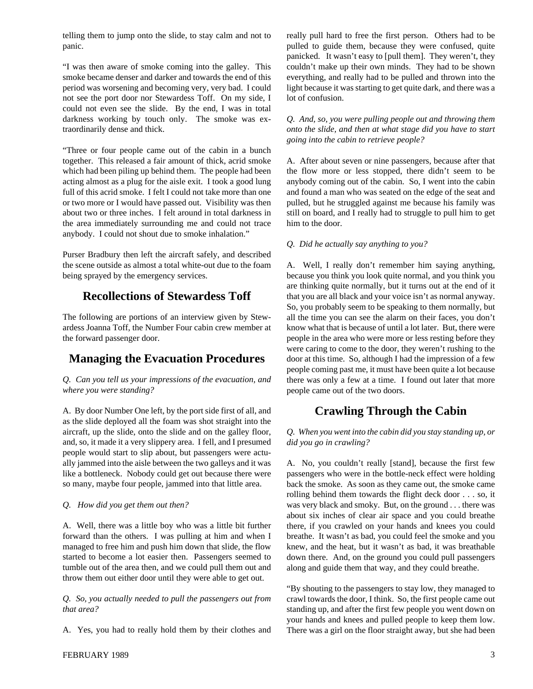telling them to jump onto the slide, to stay calm and not to panic.

"I was then aware of smoke coming into the galley. This smoke became denser and darker and towards the end of this period was worsening and becoming very, very bad. I could not see the port door nor Stewardess Toff. On my side, I could not even see the slide. By the end, I was in total darkness working by touch only. The smoke was extraordinarily dense and thick.

"Three or four people came out of the cabin in a bunch together. This released a fair amount of thick, acrid smoke which had been piling up behind them. The people had been acting almost as a plug for the aisle exit. I took a good lung full of this acrid smoke. I felt I could not take more than one or two more or I would have passed out. Visibility was then about two or three inches. I felt around in total darkness in the area immediately surrounding me and could not trace anybody. I could not shout due to smoke inhalation."

Purser Bradbury then left the aircraft safely, and described the scene outside as almost a total white-out due to the foam being sprayed by the emergency services.

# **Recollections of Stewardess Toff**

The following are portions of an interview given by Stewardess Joanna Toff, the Number Four cabin crew member at the forward passenger door.

# **Managing the Evacuation Procedures**

*Q. Can you tell us your impressions of the evacuation, and where you were standing?*

A. By door Number One left, by the port side first of all, and as the slide deployed all the foam was shot straight into the aircraft, up the slide, onto the slide and on the galley floor, and, so, it made it a very slippery area. I fell, and I presumed people would start to slip about, but passengers were actually jammed into the aisle between the two galleys and it was like a bottleneck. Nobody could get out because there were so many, maybe four people, jammed into that little area.

#### *Q. How did you get them out then?*

A. Well, there was a little boy who was a little bit further forward than the others. I was pulling at him and when I managed to free him and push him down that slide, the flow started to become a lot easier then. Passengers seemed to tumble out of the area then, and we could pull them out and throw them out either door until they were able to get out.

*Q. So, you actually needed to pull the passengers out from that area?*

A. Yes, you had to really hold them by their clothes and

really pull hard to free the first person. Others had to be pulled to guide them, because they were confused, quite panicked. It wasn't easy to [pull them]. They weren't, they couldn't make up their own minds. They had to be shown everything, and really had to be pulled and thrown into the light because it was starting to get quite dark, and there was a lot of confusion.

*Q. And, so, you were pulling people out and throwing them onto the slide, and then at what stage did you have to start going into the cabin to retrieve people?*

A. After about seven or nine passengers, because after that the flow more or less stopped, there didn't seem to be anybody coming out of the cabin. So, I went into the cabin and found a man who was seated on the edge of the seat and pulled, but he struggled against me because his family was still on board, and I really had to struggle to pull him to get him to the door.

#### *Q. Did he actually say anything to you?*

A. Well, I really don't remember him saying anything, because you think you look quite normal, and you think you are thinking quite normally, but it turns out at the end of it that you are all black and your voice isn't as normal anyway. So, you probably seem to be speaking to them normally, but all the time you can see the alarm on their faces, you don't know what that is because of until a lot later. But, there were people in the area who were more or less resting before they were caring to come to the door, they weren't rushing to the door at this time. So, although I had the impression of a few people coming past me, it must have been quite a lot because there was only a few at a time. I found out later that more people came out of the two doors.

# **Crawling Through the Cabin**

#### *Q. When you went into the cabin did you stay standing up, or did you go in crawling?*

A. No, you couldn't really [stand], because the first few passengers who were in the bottle-neck effect were holding back the smoke. As soon as they came out, the smoke came rolling behind them towards the flight deck door . . . so, it was very black and smoky. But, on the ground . . . there was about six inches of clear air space and you could breathe there, if you crawled on your hands and knees you could breathe. It wasn't as bad, you could feel the smoke and you knew, and the heat, but it wasn't as bad, it was breathable down there. And, on the ground you could pull passengers along and guide them that way, and they could breathe.

"By shouting to the passengers to stay low, they managed to crawl towards the door, I think. So, the first people came out standing up, and after the first few people you went down on your hands and knees and pulled people to keep them low. There was a girl on the floor straight away, but she had been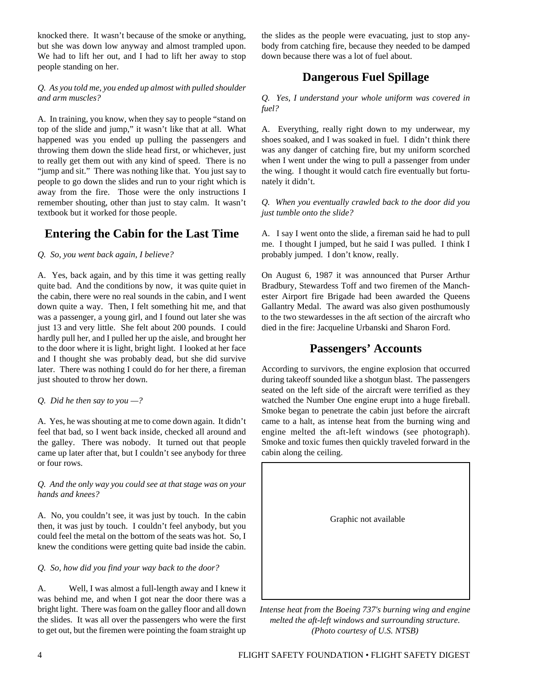knocked there. It wasn't because of the smoke or anything, but she was down low anyway and almost trampled upon. We had to lift her out, and I had to lift her away to stop people standing on her.

#### *Q. As you told me, you ended up almost with pulled shoulder and arm muscles?*

A. In training, you know, when they say to people "stand on top of the slide and jump," it wasn't like that at all. What happened was you ended up pulling the passengers and throwing them down the slide head first, or whichever, just to really get them out with any kind of speed. There is no "jump and sit." There was nothing like that. You just say to people to go down the slides and run to your right which is away from the fire. Those were the only instructions I remember shouting, other than just to stay calm. It wasn't textbook but it worked for those people.

### **Entering the Cabin for the Last Time**

*Q. So, you went back again, I believe?*

A. Yes, back again, and by this time it was getting really quite bad. And the conditions by now, it was quite quiet in the cabin, there were no real sounds in the cabin, and I went down quite a way. Then, I felt something hit me, and that was a passenger, a young girl, and I found out later she was just 13 and very little. She felt about 200 pounds. I could hardly pull her, and I pulled her up the aisle, and brought her to the door where it is light, bright light. I looked at her face and I thought she was probably dead, but she did survive later. There was nothing I could do for her there, a fireman just shouted to throw her down.

#### *Q. Did he then say to you —?*

A. Yes, he was shouting at me to come down again. It didn't feel that bad, so I went back inside, checked all around and the galley. There was nobody. It turned out that people came up later after that, but I couldn't see anybody for three or four rows.

*Q. And the only way you could see at that stage was on your hands and knees?*

A. No, you couldn't see, it was just by touch. In the cabin then, it was just by touch. I couldn't feel anybody, but you could feel the metal on the bottom of the seats was hot. So, I knew the conditions were getting quite bad inside the cabin.

*Q. So, how did you find your way back to the door?*

A. Well, I was almost a full-length away and I knew it was behind me, and when I got near the door there was a bright light. There was foam on the galley floor and all down the slides. It was all over the passengers who were the first to get out, but the firemen were pointing the foam straight up

the slides as the people were evacuating, just to stop anybody from catching fire, because they needed to be damped down because there was a lot of fuel about.

# **Dangerous Fuel Spillage**

*Q. Yes, I understand your whole uniform was covered in fuel?*

A. Everything, really right down to my underwear, my shoes soaked, and I was soaked in fuel. I didn't think there was any danger of catching fire, but my uniform scorched when I went under the wing to pull a passenger from under the wing. I thought it would catch fire eventually but fortunately it didn't.

*Q. When you eventually crawled back to the door did you just tumble onto the slide?*

A. I say I went onto the slide, a fireman said he had to pull me. I thought I jumped, but he said I was pulled. I think I probably jumped. I don't know, really.

On August 6, 1987 it was announced that Purser Arthur Bradbury, Stewardess Toff and two firemen of the Manchester Airport fire Brigade had been awarded the Queens Gallantry Medal. The award was also given posthumously to the two stewardesses in the aft section of the aircraft who died in the fire: Jacqueline Urbanski and Sharon Ford.

# **Passengers' Accounts**

According to survivors, the engine explosion that occurred during takeoff sounded like a shotgun blast. The passengers seated on the left side of the aircraft were terrified as they watched the Number One engine erupt into a huge fireball. Smoke began to penetrate the cabin just before the aircraft came to a halt, as intense heat from the burning wing and engine melted the aft-left windows (see photograph). Smoke and toxic fumes then quickly traveled forward in the cabin along the ceiling.

Graphic not available

*Intense heat from the Boeing 737's burning wing and engine melted the aft-left windows and surrounding structure. (Photo courtesy of U.S. NTSB)*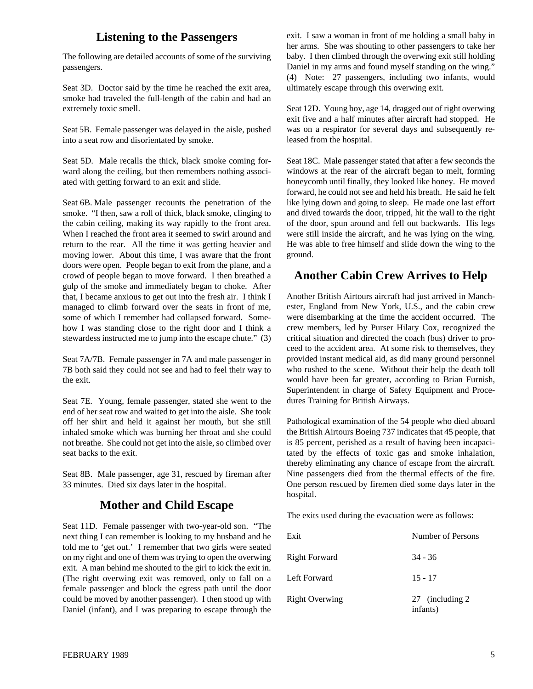### **Listening to the Passengers**

The following are detailed accounts of some of the surviving passengers.

Seat 3D. Doctor said by the time he reached the exit area, smoke had traveled the full-length of the cabin and had an extremely toxic smell.

Seat 5B. Female passenger was delayed in the aisle, pushed into a seat row and disorientated by smoke.

Seat 5D. Male recalls the thick, black smoke coming forward along the ceiling, but then remembers nothing associated with getting forward to an exit and slide.

Seat 6B. Male passenger recounts the penetration of the smoke. "I then, saw a roll of thick, black smoke, clinging to the cabin ceiling, making its way rapidly to the front area. When I reached the front area it seemed to swirl around and return to the rear. All the time it was getting heavier and moving lower. About this time, I was aware that the front doors were open. People began to exit from the plane, and a crowd of people began to move forward. I then breathed a gulp of the smoke and immediately began to choke. After that, I became anxious to get out into the fresh air. I think I managed to climb forward over the seats in front of me, some of which I remember had collapsed forward. Somehow I was standing close to the right door and I think a stewardess instructed me to jump into the escape chute." (3)

Seat 7A/7B. Female passenger in 7A and male passenger in 7B both said they could not see and had to feel their way to the exit.

Seat 7E. Young, female passenger, stated she went to the end of her seat row and waited to get into the aisle. She took off her shirt and held it against her mouth, but she still inhaled smoke which was burning her throat and she could not breathe. She could not get into the aisle, so climbed over seat backs to the exit.

Seat 8B. Male passenger, age 31, rescued by fireman after 33 minutes. Died six days later in the hospital.

### **Mother and Child Escape**

Seat 11D. Female passenger with two-year-old son. "The next thing I can remember is looking to my husband and he told me to 'get out.' I remember that two girls were seated on my right and one of them was trying to open the overwing exit. A man behind me shouted to the girl to kick the exit in. (The right overwing exit was removed, only to fall on a female passenger and block the egress path until the door could be moved by another passenger). I then stood up with Daniel (infant), and I was preparing to escape through the exit. I saw a woman in front of me holding a small baby in her arms. She was shouting to other passengers to take her baby. I then climbed through the overwing exit still holding Daniel in my arms and found myself standing on the wing." (4) Note: 27 passengers, including two infants, would ultimately escape through this overwing exit.

Seat 12D. Young boy, age 14, dragged out of right overwing exit five and a half minutes after aircraft had stopped. He was on a respirator for several days and subsequently released from the hospital.

Seat 18C. Male passenger stated that after a few seconds the windows at the rear of the aircraft began to melt, forming honeycomb until finally, they looked like honey. He moved forward, he could not see and held his breath. He said he felt like lying down and going to sleep. He made one last effort and dived towards the door, tripped, hit the wall to the right of the door, spun around and fell out backwards. His legs were still inside the aircraft, and he was lying on the wing. He was able to free himself and slide down the wing to the ground.

### **Another Cabin Crew Arrives to Help**

Another British Airtours aircraft had just arrived in Manchester, England from New York, U.S., and the cabin crew were disembarking at the time the accident occurred. The crew members, led by Purser Hilary Cox, recognized the critical situation and directed the coach (bus) driver to proceed to the accident area. At some risk to themselves, they provided instant medical aid, as did many ground personnel who rushed to the scene. Without their help the death toll would have been far greater, according to Brian Furnish, Superintendent in charge of Safety Equipment and Procedures Training for British Airways.

Pathological examination of the 54 people who died aboard the British Airtours Boeing 737 indicates that 45 people, that is 85 percent, perished as a result of having been incapacitated by the effects of toxic gas and smoke inhalation, thereby eliminating any chance of escape from the aircraft. Nine passengers died from the thermal effects of the fire. One person rescued by firemen died some days later in the hospital.

The exits used during the evacuation were as follows:

| Exit                  | Number of Persons            |
|-----------------------|------------------------------|
| <b>Right Forward</b>  | $34 - 36$                    |
| Left Forward          | $15 - 17$                    |
| <b>Right Overwing</b> | 27 (including 2)<br>infants) |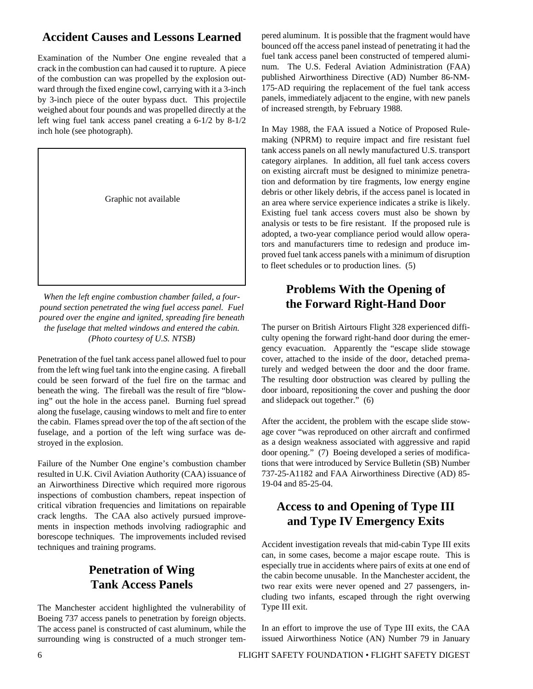# **Accident Causes and Lessons Learned**

Examination of the Number One engine revealed that a crack in the combustion can had caused it to rupture. A piece of the combustion can was propelled by the explosion outward through the fixed engine cowl, carrying with it a 3-inch by 3-inch piece of the outer bypass duct. This projectile weighed about four pounds and was propelled directly at the left wing fuel tank access panel creating a 6-1/2 by 8-1/2 inch hole (see photograph).



*When the left engine combustion chamber failed, a fourpound section penetrated the wing fuel access panel. Fuel poured over the engine and ignited, spreading fire beneath the fuselage that melted windows and entered the cabin. (Photo courtesy of U.S. NTSB)*

Penetration of the fuel tank access panel allowed fuel to pour from the left wing fuel tank into the engine casing. A fireball could be seen forward of the fuel fire on the tarmac and beneath the wing. The fireball was the result of fire "blowing" out the hole in the access panel. Burning fuel spread along the fuselage, causing windows to melt and fire to enter the cabin. Flames spread over the top of the aft section of the fuselage, and a portion of the left wing surface was destroyed in the explosion.

Failure of the Number One engine's combustion chamber resulted in U.K. Civil Aviation Authority (CAA) issuance of an Airworthiness Directive which required more rigorous inspections of combustion chambers, repeat inspection of critical vibration frequencies and limitations on repairable crack lengths. The CAA also actively pursued improvements in inspection methods involving radiographic and borescope techniques. The improvements included revised techniques and training programs.

# **Penetration of Wing Tank Access Panels**

The Manchester accident highlighted the vulnerability of Boeing 737 access panels to penetration by foreign objects. The access panel is constructed of cast aluminum, while the surrounding wing is constructed of a much stronger tempered aluminum. It is possible that the fragment would have bounced off the access panel instead of penetrating it had the fuel tank access panel been constructed of tempered aluminum. The U.S. Federal Aviation Administration (FAA) published Airworthiness Directive (AD) Number 86-NM-175-AD requiring the replacement of the fuel tank access panels, immediately adjacent to the engine, with new panels of increased strength, by February 1988.

In May 1988, the FAA issued a Notice of Proposed Rulemaking (NPRM) to require impact and fire resistant fuel tank access panels on all newly manufactured U.S. transport category airplanes. In addition, all fuel tank access covers on existing aircraft must be designed to minimize penetration and deformation by tire fragments, low energy engine debris or other likely debris, if the access panel is located in an area where service experience indicates a strike is likely. Existing fuel tank access covers must also be shown by analysis or tests to be fire resistant. If the proposed rule is adopted, a two-year compliance period would allow operators and manufacturers time to redesign and produce improved fuel tank access panels with a minimum of disruption to fleet schedules or to production lines. (5)

# **Problems With the Opening of the Forward Right-Hand Door**

The purser on British Airtours Flight 328 experienced difficulty opening the forward right-hand door during the emergency evacuation. Apparently the "escape slide stowage cover, attached to the inside of the door, detached prematurely and wedged between the door and the door frame. The resulting door obstruction was cleared by pulling the door inboard, repositioning the cover and pushing the door and slidepack out together." (6)

After the accident, the problem with the escape slide stowage cover "was reproduced on other aircraft and confirmed as a design weakness associated with aggressive and rapid door opening." (7) Boeing developed a series of modifications that were introduced by Service Bulletin (SB) Number 737-25-A1182 and FAA Airworthiness Directive (AD) 85- 19-04 and 85-25-04.

# **Access to and Opening of Type III and Type IV Emergency Exits**

Accident investigation reveals that mid-cabin Type III exits can, in some cases, become a major escape route. This is especially true in accidents where pairs of exits at one end of the cabin become unusable. In the Manchester accident, the two rear exits were never opened and 27 passengers, including two infants, escaped through the right overwing Type III exit.

In an effort to improve the use of Type III exits, the CAA issued Airworthiness Notice (AN) Number 79 in January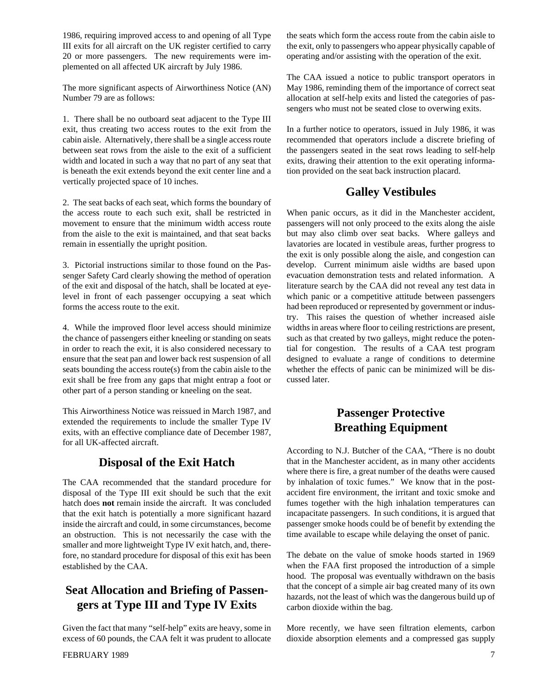1986, requiring improved access to and opening of all Type III exits for all aircraft on the UK register certified to carry 20 or more passengers. The new requirements were implemented on all affected UK aircraft by July 1986.

The more significant aspects of Airworthiness Notice (AN) Number 79 are as follows:

1. There shall be no outboard seat adjacent to the Type III exit, thus creating two access routes to the exit from the cabin aisle. Alternatively, there shall be a single access route between seat rows from the aisle to the exit of a sufficient width and located in such a way that no part of any seat that is beneath the exit extends beyond the exit center line and a vertically projected space of 10 inches.

2. The seat backs of each seat, which forms the boundary of the access route to each such exit, shall be restricted in movement to ensure that the minimum width access route from the aisle to the exit is maintained, and that seat backs remain in essentially the upright position.

3. Pictorial instructions similar to those found on the Passenger Safety Card clearly showing the method of operation of the exit and disposal of the hatch, shall be located at eyelevel in front of each passenger occupying a seat which forms the access route to the exit.

4. While the improved floor level access should minimize the chance of passengers either kneeling or standing on seats in order to reach the exit, it is also considered necessary to ensure that the seat pan and lower back rest suspension of all seats bounding the access route(s) from the cabin aisle to the exit shall be free from any gaps that might entrap a foot or other part of a person standing or kneeling on the seat.

This Airworthiness Notice was reissued in March 1987, and extended the requirements to include the smaller Type IV exits, with an effective compliance date of December 1987, for all UK-affected aircraft.

### **Disposal of the Exit Hatch**

The CAA recommended that the standard procedure for disposal of the Type III exit should be such that the exit hatch does **not** remain inside the aircraft. It was concluded that the exit hatch is potentially a more significant hazard inside the aircraft and could, in some circumstances, become an obstruction. This is not necessarily the case with the smaller and more lightweight Type IV exit hatch, and, therefore, no standard procedure for disposal of this exit has been established by the CAA.

# **Seat Allocation and Briefing of Passengers at Type III and Type IV Exits**

Given the fact that many "self-help" exits are heavy, some in excess of 60 pounds, the CAA felt it was prudent to allocate the seats which form the access route from the cabin aisle to the exit, only to passengers who appear physically capable of operating and/or assisting with the operation of the exit.

The CAA issued a notice to public transport operators in May 1986, reminding them of the importance of correct seat allocation at self-help exits and listed the categories of passengers who must not be seated close to overwing exits.

In a further notice to operators, issued in July 1986, it was recommended that operators include a discrete briefing of the passengers seated in the seat rows leading to self-help exits, drawing their attention to the exit operating information provided on the seat back instruction placard.

# **Galley Vestibules**

When panic occurs, as it did in the Manchester accident, passengers will not only proceed to the exits along the aisle but may also climb over seat backs. Where galleys and lavatories are located in vestibule areas, further progress to the exit is only possible along the aisle, and congestion can develop. Current minimum aisle widths are based upon evacuation demonstration tests and related information. A literature search by the CAA did not reveal any test data in which panic or a competitive attitude between passengers had been reproduced or represented by government or industry. This raises the question of whether increased aisle widths in areas where floor to ceiling restrictions are present, such as that created by two galleys, might reduce the potential for congestion. The results of a CAA test program designed to evaluate a range of conditions to determine whether the effects of panic can be minimized will be discussed later.

# **Passenger Protective Breathing Equipment**

According to N.J. Butcher of the CAA, "There is no doubt that in the Manchester accident, as in many other accidents where there is fire, a great number of the deaths were caused by inhalation of toxic fumes." We know that in the postaccident fire environment, the irritant and toxic smoke and fumes together with the high inhalation temperatures can incapacitate passengers. In such conditions, it is argued that passenger smoke hoods could be of benefit by extending the time available to escape while delaying the onset of panic.

The debate on the value of smoke hoods started in 1969 when the FAA first proposed the introduction of a simple hood. The proposal was eventually withdrawn on the basis that the concept of a simple air bag created many of its own hazards, not the least of which was the dangerous build up of carbon dioxide within the bag.

More recently, we have seen filtration elements, carbon dioxide absorption elements and a compressed gas supply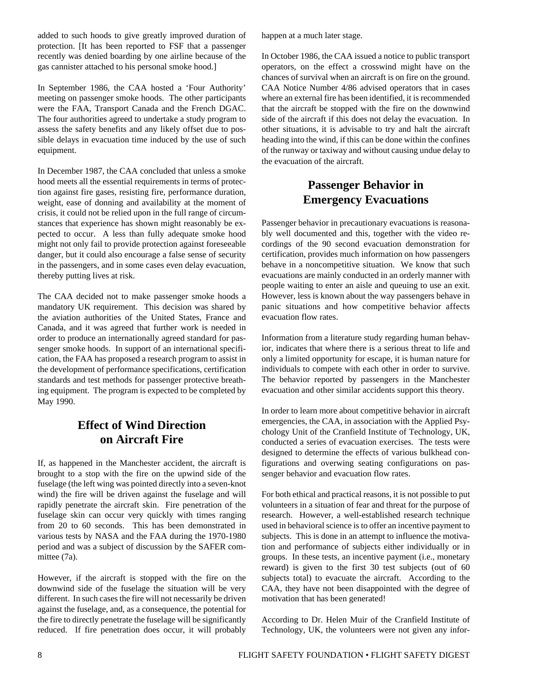added to such hoods to give greatly improved duration of protection. [It has been reported to FSF that a passenger recently was denied boarding by one airline because of the gas cannister attached to his personal smoke hood.]

In September 1986, the CAA hosted a 'Four Authority' meeting on passenger smoke hoods. The other participants were the FAA, Transport Canada and the French DGAC. The four authorities agreed to undertake a study program to assess the safety benefits and any likely offset due to possible delays in evacuation time induced by the use of such equipment.

In December 1987, the CAA concluded that unless a smoke hood meets all the essential requirements in terms of protection against fire gases, resisting fire, performance duration, weight, ease of donning and availability at the moment of crisis, it could not be relied upon in the full range of circumstances that experience has shown might reasonably be expected to occur. A less than fully adequate smoke hood might not only fail to provide protection against foreseeable danger, but it could also encourage a false sense of security in the passengers, and in some cases even delay evacuation, thereby putting lives at risk.

The CAA decided not to make passenger smoke hoods a mandatory UK requirement. This decision was shared by the aviation authorities of the United States, France and Canada, and it was agreed that further work is needed in order to produce an internationally agreed standard for passenger smoke hoods. In support of an international specification, the FAA has proposed a research program to assist in the development of performance specifications, certification standards and test methods for passenger protective breathing equipment. The program is expected to be completed by May 1990.

# **Effect of Wind Direction on Aircraft Fire**

If, as happened in the Manchester accident, the aircraft is brought to a stop with the fire on the upwind side of the fuselage (the left wing was pointed directly into a seven-knot wind) the fire will be driven against the fuselage and will rapidly penetrate the aircraft skin. Fire penetration of the fuselage skin can occur very quickly with times ranging from 20 to 60 seconds. This has been demonstrated in various tests by NASA and the FAA during the 1970-1980 period and was a subject of discussion by the SAFER committee (7a).

However, if the aircraft is stopped with the fire on the downwind side of the fuselage the situation will be very different. In such cases the fire will not necessarily be driven against the fuselage, and, as a consequence, the potential for the fire to directly penetrate the fuselage will be significantly reduced. If fire penetration does occur, it will probably

happen at a much later stage.

In October 1986, the CAA issued a notice to public transport operators, on the effect a crosswind might have on the chances of survival when an aircraft is on fire on the ground. CAA Notice Number 4/86 advised operators that in cases where an external fire has been identified, it is recommended that the aircraft be stopped with the fire on the downwind side of the aircraft if this does not delay the evacuation. In other situations, it is advisable to try and halt the aircraft heading into the wind, if this can be done within the confines of the runway or taxiway and without causing undue delay to the evacuation of the aircraft.

# **Passenger Behavior in Emergency Evacuations**

Passenger behavior in precautionary evacuations is reasonably well documented and this, together with the video recordings of the 90 second evacuation demonstration for certification, provides much information on how passengers behave in a noncompetitive situation. We know that such evacuations are mainly conducted in an orderly manner with people waiting to enter an aisle and queuing to use an exit. However, less is known about the way passengers behave in panic situations and how competitive behavior affects evacuation flow rates.

Information from a literature study regarding human behavior, indicates that where there is a serious threat to life and only a limited opportunity for escape, it is human nature for individuals to compete with each other in order to survive. The behavior reported by passengers in the Manchester evacuation and other similar accidents support this theory.

In order to learn more about competitive behavior in aircraft emergencies, the CAA, in association with the Applied Psychology Unit of the Cranfield Institute of Technology, UK, conducted a series of evacuation exercises. The tests were designed to determine the effects of various bulkhead configurations and overwing seating configurations on passenger behavior and evacuation flow rates.

For both ethical and practical reasons, it is not possible to put volunteers in a situation of fear and threat for the purpose of research. However, a well-established research technique used in behavioral science is to offer an incentive payment to subjects. This is done in an attempt to influence the motivation and performance of subjects either individually or in groups. In these tests, an incentive payment (i.e., monetary reward) is given to the first 30 test subjects (out of 60 subjects total) to evacuate the aircraft. According to the CAA, they have not been disappointed with the degree of motivation that has been generated!

According to Dr. Helen Muir of the Cranfield Institute of Technology, UK, the volunteers were not given any infor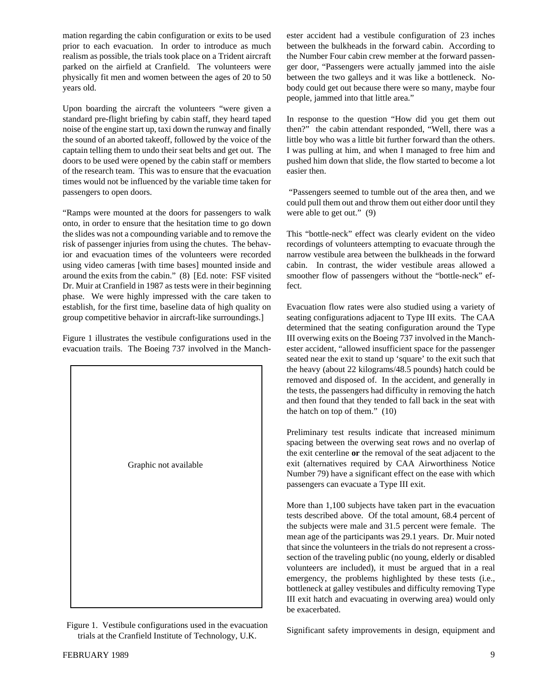mation regarding the cabin configuration or exits to be used prior to each evacuation. In order to introduce as much realism as possible, the trials took place on a Trident aircraft parked on the airfield at Cranfield. The volunteers were physically fit men and women between the ages of 20 to 50 years old.

Upon boarding the aircraft the volunteers "were given a standard pre-flight briefing by cabin staff, they heard taped noise of the engine start up, taxi down the runway and finally the sound of an aborted takeoff, followed by the voice of the captain telling them to undo their seat belts and get out. The doors to be used were opened by the cabin staff or members of the research team. This was to ensure that the evacuation times would not be influenced by the variable time taken for passengers to open doors.

"Ramps were mounted at the doors for passengers to walk onto, in order to ensure that the hesitation time to go down the slides was not a compounding variable and to remove the risk of passenger injuries from using the chutes. The behavior and evacuation times of the volunteers were recorded using video cameras [with time bases] mounted inside and around the exits from the cabin." (8) [Ed. note: FSF visited Dr. Muir at Cranfield in 1987 as tests were in their beginning phase. We were highly impressed with the care taken to establish, for the first time, baseline data of high quality on group competitive behavior in aircraft-like surroundings.]

Figure 1 illustrates the vestibule configurations used in the evacuation trails. The Boeing 737 involved in the Manch-



Figure 1. Vestibule configurations used in the evacuation trials at the Cranfield Institute of Technology, U.K.

ester accident had a vestibule configuration of 23 inches between the bulkheads in the forward cabin. According to the Number Four cabin crew member at the forward passenger door, "Passengers were actually jammed into the aisle between the two galleys and it was like a bottleneck. Nobody could get out because there were so many, maybe four people, jammed into that little area."

In response to the question "How did you get them out then?" the cabin attendant responded, "Well, there was a little boy who was a little bit further forward than the others. I was pulling at him, and when I managed to free him and pushed him down that slide, the flow started to become a lot easier then.

 "Passengers seemed to tumble out of the area then, and we could pull them out and throw them out either door until they were able to get out." (9)

This "bottle-neck" effect was clearly evident on the video recordings of volunteers attempting to evacuate through the narrow vestibule area between the bulkheads in the forward cabin. In contrast, the wider vestibule areas allowed a smoother flow of passengers without the "bottle-neck" effect.

Evacuation flow rates were also studied using a variety of seating configurations adjacent to Type III exits. The CAA determined that the seating configuration around the Type III overwing exits on the Boeing 737 involved in the Manchester accident, "allowed insufficient space for the passenger seated near the exit to stand up 'square' to the exit such that the heavy (about 22 kilograms/48.5 pounds) hatch could be removed and disposed of. In the accident, and generally in the tests, the passengers had difficulty in removing the hatch and then found that they tended to fall back in the seat with the hatch on top of them." (10)

Preliminary test results indicate that increased minimum spacing between the overwing seat rows and no overlap of the exit centerline **or** the removal of the seat adjacent to the exit (alternatives required by CAA Airworthiness Notice Number 79) have a significant effect on the ease with which passengers can evacuate a Type III exit.

More than 1,100 subjects have taken part in the evacuation tests described above. Of the total amount, 68.4 percent of the subjects were male and 31.5 percent were female. The mean age of the participants was 29.1 years. Dr. Muir noted that since the volunteers in the trials do not represent a crosssection of the traveling public (no young, elderly or disabled volunteers are included), it must be argued that in a real emergency, the problems highlighted by these tests (i.e., bottleneck at galley vestibules and difficulty removing Type III exit hatch and evacuating in overwing area) would only be exacerbated.

Significant safety improvements in design, equipment and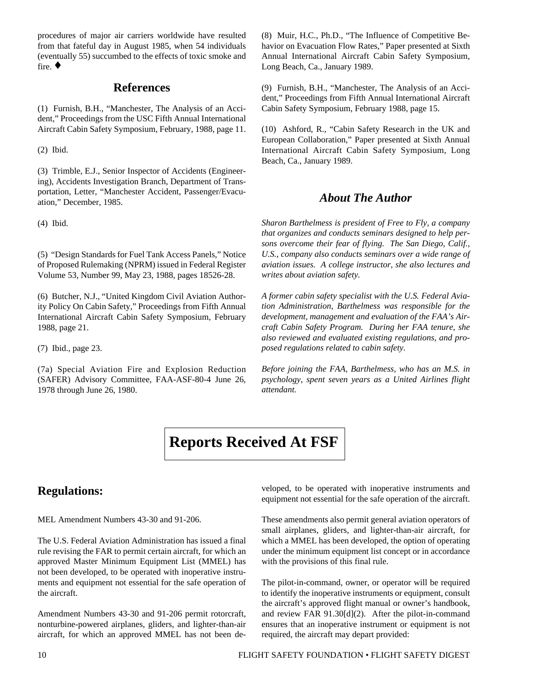procedures of major air carriers worldwide have resulted from that fateful day in August 1985, when 54 individuals (eventually 55) succumbed to the effects of toxic smoke and fire. ♦

#### **References**

(1) Furnish, B.H., "Manchester, The Analysis of an Accident," Proceedings from the USC Fifth Annual International Aircraft Cabin Safety Symposium, February, 1988, page 11.

(2) Ibid.

(3) Trimble, E.J., Senior Inspector of Accidents (Engineering), Accidents Investigation Branch, Department of Transportation, Letter, "Manchester Accident, Passenger/Evacuation," December, 1985.

(4) Ibid.

(5) "Design Standards for Fuel Tank Access Panels," Notice of Proposed Rulemaking (NPRM) issued in Federal Register Volume 53, Number 99, May 23, 1988, pages 18526-28.

(6) Butcher, N.J., "United Kingdom Civil Aviation Authority Policy On Cabin Safety," Proceedings from Fifth Annual International Aircraft Cabin Safety Symposium, February 1988, page 21.

(7) Ibid., page 23.

(7a) Special Aviation Fire and Explosion Reduction (SAFER) Advisory Committee, FAA-ASF-80-4 June 26, 1978 through June 26, 1980.

(8) Muir, H.C., Ph.D., "The Influence of Competitive Behavior on Evacuation Flow Rates," Paper presented at Sixth Annual International Aircraft Cabin Safety Symposium, Long Beach, Ca., January 1989.

(9) Furnish, B.H., "Manchester, The Analysis of an Accident," Proceedings from Fifth Annual International Aircraft Cabin Safety Symposium, February 1988, page 15.

(10) Ashford, R., "Cabin Safety Research in the UK and European Collaboration," Paper presented at Sixth Annual International Aircraft Cabin Safety Symposium, Long Beach, Ca., January 1989.

### *About The Author*

*Sharon Barthelmess is president of Free to Fly, a company that organizes and conducts seminars designed to help persons overcome their fear of flying. The San Diego, Calif., U.S., company also conducts seminars over a wide range of aviation issues. A college instructor, she also lectures and writes about aviation safety.*

*A former cabin safety specialist with the U.S. Federal Aviation Administration, Barthelmess was responsible for the development, management and evaluation of the FAA's Aircraft Cabin Safety Program. During her FAA tenure, she also reviewed and evaluated existing regulations, and proposed regulations related to cabin safety.*

*Before joining the FAA, Barthelmess, who has an M.S. in psychology, spent seven years as a United Airlines flight attendant.*



# **Regulations:**

MEL Amendment Numbers 43-30 and 91-206.

The U.S. Federal Aviation Administration has issued a final rule revising the FAR to permit certain aircraft, for which an approved Master Minimum Equipment List (MMEL) has not been developed, to be operated with inoperative instruments and equipment not essential for the safe operation of the aircraft.

Amendment Numbers 43-30 and 91-206 permit rotorcraft, nonturbine-powered airplanes, gliders, and lighter-than-air aircraft, for which an approved MMEL has not been developed, to be operated with inoperative instruments and equipment not essential for the safe operation of the aircraft.

These amendments also permit general aviation operators of small airplanes, gliders, and lighter-than-air aircraft, for which a MMEL has been developed, the option of operating under the minimum equipment list concept or in accordance with the provisions of this final rule.

The pilot-in-command, owner, or operator will be required to identify the inoperative instruments or equipment, consult the aircraft's approved flight manual or owner's handbook, and review FAR 91.30[d](2). After the pilot-in-command ensures that an inoperative instrument or equipment is not required, the aircraft may depart provided: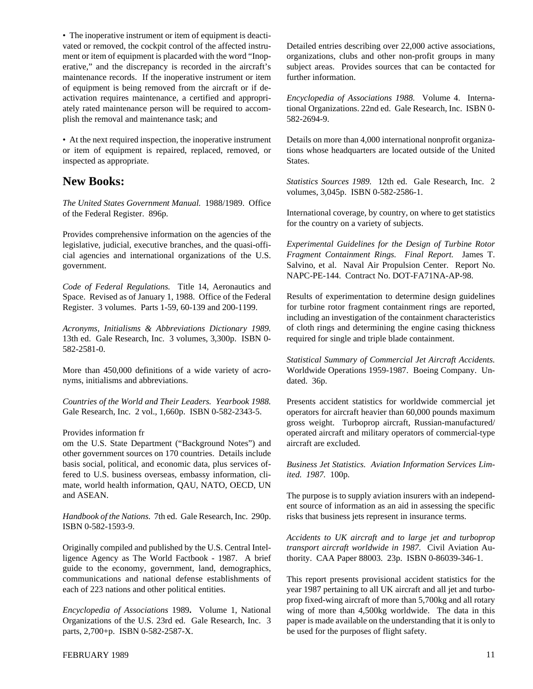• The inoperative instrument or item of equipment is deactivated or removed, the cockpit control of the affected instrument or item of equipment is placarded with the word "Inoperative," and the discrepancy is recorded in the aircraft's maintenance records. If the inoperative instrument or item of equipment is being removed from the aircraft or if deactivation requires maintenance, a certified and appropriately rated maintenance person will be required to accomplish the removal and maintenance task; and

• At the next required inspection, the inoperative instrument or item of equipment is repaired, replaced, removed, or inspected as appropriate.

### **New Books:**

*The United States Government Manual.* 1988/1989. Office of the Federal Register. 896p.

Provides comprehensive information on the agencies of the legislative, judicial, executive branches, and the quasi-official agencies and international organizations of the U.S. government.

*Code of Federal Regulations.* Title 14, Aeronautics and Space. Revised as of January 1, 1988. Office of the Federal Register. 3 volumes. Parts 1-59, 60-139 and 200-1199.

*Acronyms, Initialisms & Abbreviations Dictionary 1989.* 13th ed. Gale Research, Inc. 3 volumes, 3,300p. ISBN 0- 582-2581-0.

More than 450,000 definitions of a wide variety of acronyms, initialisms and abbreviations.

*Countries of the World and Their Leaders. Yearbook 1988.* Gale Research, Inc. 2 vol., 1,660p. ISBN 0-582-2343-5.

#### Provides information fr

om the U.S. State Department ("Background Notes") and other government sources on 170 countries. Details include basis social, political, and economic data, plus services offered to U.S. business overseas, embassy information, climate, world health information, QAU, NATO, OECD, UN and ASEAN.

*Handbook of the Nations.* 7th ed. Gale Research, Inc. 290p. ISBN 0-582-1593-9.

Originally compiled and published by the U.S. Central Intelligence Agency as The World Factbook - 1987. A brief guide to the economy, government, land, demographics, communications and national defense establishments of each of 223 nations and other political entities.

*Encyclopedia of Associations* 1989**.** Volume 1, National Organizations of the U.S. 23rd ed. Gale Research, Inc. 3 parts, 2,700+p. ISBN 0-582-2587-X.

Detailed entries describing over 22,000 active associations, organizations, clubs and other non-profit groups in many subject areas. Provides sources that can be contacted for further information.

*Encyclopedia of Associations 1988.* Volume 4. International Organizations. 22nd ed. Gale Research, Inc. ISBN 0- 582-2694-9.

Details on more than 4,000 international nonprofit organizations whose headquarters are located outside of the United States.

*Statistics Sources 1989.* 12th ed. Gale Research, Inc. 2 volumes, 3,045p. ISBN 0-582-2586-1.

International coverage, by country, on where to get statistics for the country on a variety of subjects.

*Experimental Guidelines for the Design of Turbine Rotor Fragment Containment Rings. Final Report.* James T. Salvino, et al. Naval Air Propulsion Center. Report No. NAPC-PE-144. Contract No. DOT-FA71NA-AP-98.

Results of experimentation to determine design guidelines for turbine rotor fragment containment rings are reported, including an investigation of the containment characteristics of cloth rings and determining the engine casing thickness required for single and triple blade containment.

*Statistical Summary of Commercial Jet Aircraft Accidents.* Worldwide Operations 1959-1987. Boeing Company. Undated. 36p.

Presents accident statistics for worldwide commercial jet operators for aircraft heavier than 60,000 pounds maximum gross weight. Turboprop aircraft, Russian-manufactured/ operated aircraft and military operators of commercial-type aircraft are excluded.

*Business Jet Statistics. Aviation Information Services Limited. 1987.* 100p.

The purpose is to supply aviation insurers with an independent source of information as an aid in assessing the specific risks that business jets represent in insurance terms.

*Accidents to UK aircraft and to large jet and turboprop transport aircraft worldwide in 1987.* Civil Aviation Authority. CAA Paper 88003. 23p. ISBN 0-86039-346-1.

This report presents provisional accident statistics for the year 1987 pertaining to all UK aircraft and all jet and turboprop fixed-wing aircraft of more than 5,700kg and all rotary wing of more than 4,500kg worldwide. The data in this paper is made available on the understanding that it is only to be used for the purposes of flight safety.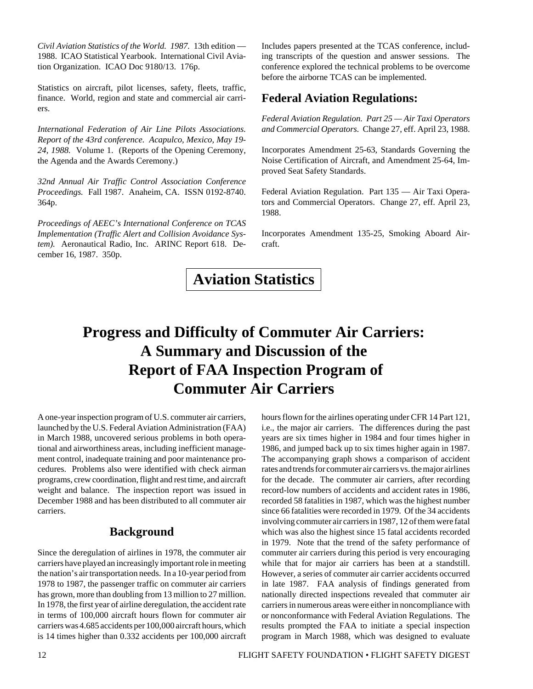*Civil Aviation Statistics of the World. 1987.* 13th edition — 1988. ICAO Statistical Yearbook. International Civil Aviation Organization. ICAO Doc 9180/13. 176p.

Statistics on aircraft, pilot licenses, safety, fleets, traffic, finance. World, region and state and commercial air carriers.

*International Federation of Air Line Pilots Associations. Report of the 43rd conference. Acapulco, Mexico, May 19- 24, 1988.* Volume 1. (Reports of the Opening Ceremony, the Agenda and the Awards Ceremony.)

*32nd Annual Air Traffic Control Association Conference Proceedings.* Fall 1987. Anaheim, CA. ISSN 0192-8740. 364p.

*Proceedings of AEEC's International Conference on TCAS Implementation (Traffic Alert and Collision Avoidance System).* Aeronautical Radio, Inc. ARINC Report 618. December 16, 1987. 350p.

Includes papers presented at the TCAS conference, including transcripts of the question and answer sessions. The conference explored the technical problems to be overcome before the airborne TCAS can be implemented.

### **Federal Aviation Regulations:**

*Federal Aviation Regulation. Part 25 — Air Taxi Operators and Commercial Operators.* Change 27, eff. April 23, 1988.

Incorporates Amendment 25-63, Standards Governing the Noise Certification of Aircraft, and Amendment 25-64, Improved Seat Safety Standards.

Federal Aviation Regulation. Part 135 — Air Taxi Operators and Commercial Operators. Change 27, eff. April 23, 1988.

Incorporates Amendment 135-25, Smoking Aboard Aircraft.

**Aviation Statistics**

# **Progress and Difficulty of Commuter Air Carriers: A Summary and Discussion of the Report of FAA Inspection Program of Commuter Air Carriers**

A one-year inspection program of U.S. commuter air carriers, launched by the U.S. Federal Aviation Administration (FAA) in March 1988, uncovered serious problems in both operational and airworthiness areas, including inefficient management control, inadequate training and poor maintenance procedures. Problems also were identified with check airman programs, crew coordination, flight and rest time, and aircraft weight and balance. The inspection report was issued in December 1988 and has been distributed to all commuter air carriers.

### **Background**

Since the deregulation of airlines in 1978, the commuter air carriers have played an increasingly important role in meeting the nation's air transportation needs. In a 10-year period from 1978 to 1987, the passenger traffic on commuter air carriers has grown, more than doubling from 13 million to 27 million. In 1978, the first year of airline deregulation, the accident rate in terms of 100,000 aircraft hours flown for commuter air carriers was 4.685 accidents per 100,000 aircraft hours, which is 14 times higher than 0.332 accidents per 100,000 aircraft

i.e., the major air carriers. The differences during the past years are six times higher in 1984 and four times higher in 1986, and jumped back up to six times higher again in 1987. The accompanying graph shows a comparison of accident rates and trends for commuter air carriers vs. the major airlines for the decade. The commuter air carriers, after recording record-low numbers of accidents and accident rates in 1986, recorded 58 fatalities in 1987, which was the highest number since 66 fatalities were recorded in 1979. Of the 34 accidents involving commuter air carriers in 1987, 12 of them were fatal which was also the highest since 15 fatal accidents recorded in 1979. Note that the trend of the safety performance of commuter air carriers during this period is very encouraging while that for major air carriers has been at a standstill. However, a series of commuter air carrier accidents occurred in late 1987. FAA analysis of findings generated from nationally directed inspections revealed that commuter air carriers in numerous areas were either in noncompliance with or nonconformance with Federal Aviation Regulations. The results prompted the FAA to initiate a special inspection program in March 1988, which was designed to evaluate

hours flown for the airlines operating under CFR 14 Part 121,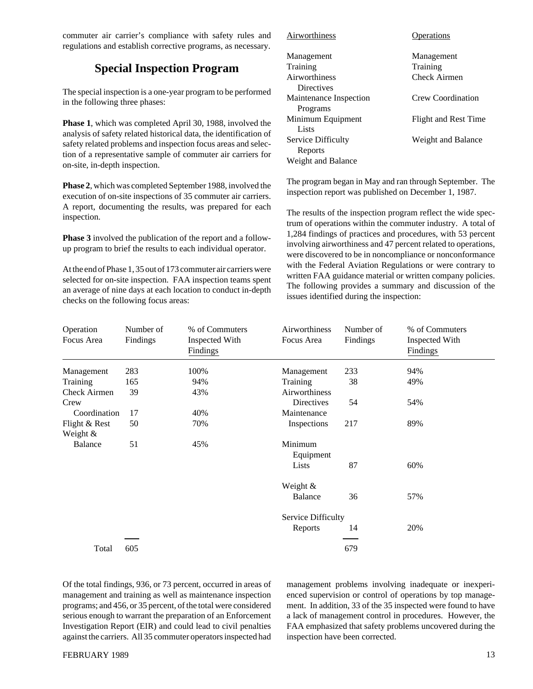commuter air carrier's compliance with safety rules and regulations and establish corrective programs, as necessary.

# **Special Inspection Program**

The special inspection is a one-year program to be performed in the following three phases:

**Phase 1**, which was completed April 30, 1988, involved the analysis of safety related historical data, the identification of safety related problems and inspection focus areas and selection of a representative sample of commuter air carriers for on-site, in-depth inspection.

**Phase 2**, which was completed September 1988, involved the execution of on-site inspections of 35 commuter air carriers. A report, documenting the results, was prepared for each inspection.

**Phase 3** involved the publication of the report and a followup program to brief the results to each individual operator.

At the end of Phase 1, 35 out of 173 commuter air carriers were selected for on-site inspection. FAA inspection teams spent an average of nine days at each location to conduct in-depth checks on the following focus areas:

| Airworthiness          | Operations           |
|------------------------|----------------------|
| Management             | Management           |
| Training               | Training             |
| Airworthiness          | <b>Check Airmen</b>  |
| Directives             |                      |
| Maintenance Inspection | Crew Coordination    |
| Programs               |                      |
| Minimum Equipment      | Flight and Rest Time |
| Lists                  |                      |
| Service Difficulty     | Weight and Balance   |
| Reports                |                      |
| Weight and Balance     |                      |

The program began in May and ran through September. The inspection report was published on December 1, 1987.

The results of the inspection program reflect the wide spectrum of operations within the commuter industry. A total of 1,284 findings of practices and procedures, with 53 percent involving airworthiness and 47 percent related to operations, were discovered to be in noncompliance or nonconformance with the Federal Aviation Regulations or were contrary to written FAA guidance material or written company policies. The following provides a summary and discussion of the issues identified during the inspection:

| Operation     | Number of | % of Commuters | Airworthiness      | Number of | % of Commuters |  |
|---------------|-----------|----------------|--------------------|-----------|----------------|--|
| Focus Area    | Findings  | Inspected With | Focus Area         | Findings  | Inspected With |  |
|               |           | Findings       |                    |           | Findings       |  |
| Management    | 283       | 100%           | Management         | 233       | 94%            |  |
| Training      | 165       | 94%            | Training           | 38        | 49%            |  |
| Check Airmen  | 39        | 43%            | Airworthiness      |           |                |  |
| Crew          |           |                | <b>Directives</b>  | 54        | 54%            |  |
| Coordination  | 17        | 40%            | Maintenance        |           |                |  |
| Flight & Rest | 50        | 70%            | Inspections        | 217       | 89%            |  |
| Weight $&$    |           |                |                    |           |                |  |
| Balance       | 51        | 45%            | Minimum            |           |                |  |
|               |           |                | Equipment          |           |                |  |
|               |           |                | Lists              | 87        | 60%            |  |
|               |           |                | Weight &           |           |                |  |
|               |           |                | Balance            | 36        | 57%            |  |
|               |           |                | Service Difficulty |           |                |  |
|               |           |                | Reports            | 14        | 20%            |  |
|               |           |                |                    |           |                |  |
| Total         | 605       |                |                    | 679       |                |  |

Of the total findings, 936, or 73 percent, occurred in areas of management and training as well as maintenance inspection programs; and 456, or 35 percent, of the total were considered serious enough to warrant the preparation of an Enforcement Investigation Report (EIR) and could lead to civil penalties against the carriers. All 35 commuter operators inspected had

management problems involving inadequate or inexperienced supervision or control of operations by top management. In addition, 33 of the 35 inspected were found to have a lack of management control in procedures. However, the FAA emphasized that safety problems uncovered during the inspection have been corrected.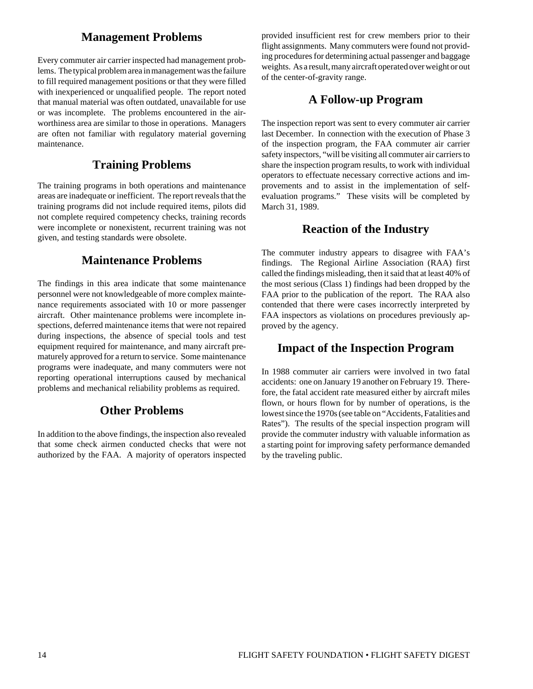### **Management Problems**

Every commuter air carrier inspected had management problems. The typical problem area in management was the failure to fill required management positions or that they were filled with inexperienced or unqualified people. The report noted that manual material was often outdated, unavailable for use or was incomplete. The problems encountered in the airworthiness area are similar to those in operations. Managers are often not familiar with regulatory material governing maintenance.

### **Training Problems**

The training programs in both operations and maintenance areas are inadequate or inefficient. The report reveals that the training programs did not include required items, pilots did not complete required competency checks, training records were incomplete or nonexistent, recurrent training was not given, and testing standards were obsolete.

### **Maintenance Problems**

The findings in this area indicate that some maintenance personnel were not knowledgeable of more complex maintenance requirements associated with 10 or more passenger aircraft. Other maintenance problems were incomplete inspections, deferred maintenance items that were not repaired during inspections, the absence of special tools and test equipment required for maintenance, and many aircraft prematurely approved for a return to service. Some maintenance programs were inadequate, and many commuters were not reporting operational interruptions caused by mechanical problems and mechanical reliability problems as required.

### **Other Problems**

In addition to the above findings, the inspection also revealed that some check airmen conducted checks that were not authorized by the FAA. A majority of operators inspected

provided insufficient rest for crew members prior to their flight assignments. Many commuters were found not providing procedures for determining actual passenger and baggage weights. As a result, many aircraft operated over weight or out of the center-of-gravity range.

### **A Follow-up Program**

The inspection report was sent to every commuter air carrier last December. In connection with the execution of Phase 3 of the inspection program, the FAA commuter air carrier safety inspectors, "will be visiting all commuter air carriers to share the inspection program results, to work with individual operators to effectuate necessary corrective actions and improvements and to assist in the implementation of selfevaluation programs." These visits will be completed by March 31, 1989.

### **Reaction of the Industry**

The commuter industry appears to disagree with FAA's findings. The Regional Airline Association (RAA) first called the findings misleading, then it said that at least 40% of the most serious (Class 1) findings had been dropped by the FAA prior to the publication of the report. The RAA also contended that there were cases incorrectly interpreted by FAA inspectors as violations on procedures previously approved by the agency.

### **Impact of the Inspection Program**

In 1988 commuter air carriers were involved in two fatal accidents: one on January 19 another on February 19. Therefore, the fatal accident rate measured either by aircraft miles flown, or hours flown for by number of operations, is the lowest since the 1970s (see table on "Accidents, Fatalities and Rates"). The results of the special inspection program will provide the commuter industry with valuable information as a starting point for improving safety performance demanded by the traveling public.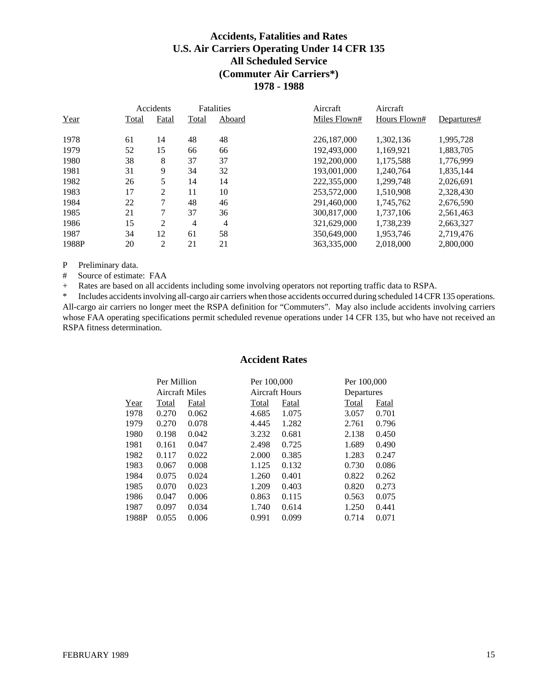### **Accidents, Fatalities and Rates U.S. Air Carriers Operating Under 14 CFR 135 All Scheduled Service (Commuter Air Carriers\*) 1978 - 1988**

|       |       | Accidents |       | <b>Fatalities</b> | Aircraft     | Aircraft     |             |
|-------|-------|-----------|-------|-------------------|--------------|--------------|-------------|
| Year  | Total | Fatal     | Total | Aboard            | Miles Flown# | Hours Flown# | Departures# |
| 1978  | 61    | 14        | 48    | 48                | 226,187,000  | 1.302.136    | 1.995.728   |
| 1979  | 52    | 15        | 66    | 66                | 192,493,000  | 1.169.921    | 1.883.705   |
| 1980  | 38    | 8         | 37    | 37                | 192,200,000  | 1,175,588    | 1,776,999   |
| 1981  | 31    | 9         | 34    | 32                | 193,001,000  | 1.240.764    | 1,835,144   |
| 1982  | 26    | 5         | 14    | 14                | 222,355,000  | 1,299,748    | 2,026,691   |
| 1983  | 17    | 2         | 11    | 10                | 253,572,000  | 1,510,908    | 2,328,430   |
| 1984  | 22    | 7         | 48    | 46                | 291.460.000  | 1.745.762    | 2,676,590   |
| 1985  | 21    | 7         | 37    | 36                | 300.817.000  | 1.737.106    | 2,561,463   |
| 1986  | 15    | 2         | 4     | 4                 | 321,629,000  | 1,738,239    | 2,663,327   |
| 1987  | 34    | 12        | 61    | 58                | 350,649,000  | 1.953.746    | 2,719,476   |
| 1988P | 20    | 2         | 21    | 21                | 363,335,000  | 2.018.000    | 2,800,000   |
|       |       |           |       |                   |              |              |             |

P Preliminary data.

# Source of estimate: FAA

+ Rates are based on all accidents including some involving operators not reporting traffic data to RSPA.

\* Includes accidents involving all-cargo air carriers when those accidents occurred during scheduled 14 CFR 135 operations. All-cargo air carriers no longer meet the RSPA definition for "Commuters". May also include accidents involving carriers whose FAA operating specifications permit scheduled revenue operations under 14 CFR 135, but who have not received an RSPA fitness determination.

#### **Accident Rates**

|       | Per Million    |       | Per 100,000    |       | Per 100,000 |       |
|-------|----------------|-------|----------------|-------|-------------|-------|
|       | Aircraft Miles |       | Aircraft Hours |       | Departures  |       |
| Year  | Total          | Fatal | Total          | Fatal | Total       | Fatal |
| 1978  | 0.270          | 0.062 | 4.685          | 1.075 | 3.057       | 0.701 |
| 1979  | 0.270          | 0.078 | 4.445          | 1.282 | 2.761       | 0.796 |
| 1980  | 0.198          | 0.042 | 3.232          | 0.681 | 2.138       | 0.450 |
| 1981  | 0.161          | 0.047 | 2.498          | 0.725 | 1.689       | 0.490 |
| 1982  | 0.117          | 0.022 | 2.000          | 0.385 | 1.283       | 0.247 |
| 1983  | 0.067          | 0.008 | 1.125          | 0.132 | 0.730       | 0.086 |
| 1984  | 0.075          | 0.024 | 1.260          | 0.401 | 0.822       | 0.262 |
| 1985  | 0.070          | 0.023 | 1.209          | 0.403 | 0.820       | 0.273 |
| 1986  | 0.047          | 0.006 | 0.863          | 0.115 | 0.563       | 0.075 |
| 1987  | 0.097          | 0.034 | 1.740          | 0.614 | 1.250       | 0.441 |
| 1988P | 0.055          | 0.006 | 0.991          | 0.099 | 0.714       | 0.071 |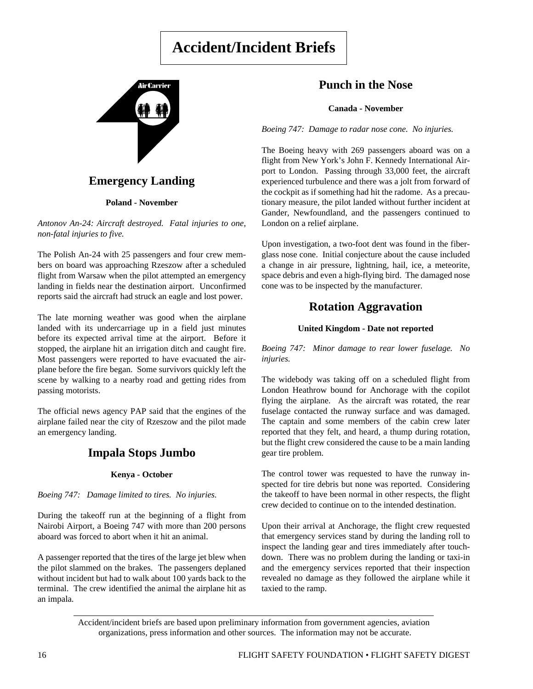# **Accident/Incident Briefs**



### **Emergency Landing**

**Poland - November**

*Antonov An-24: Aircraft destroyed. Fatal injuries to one, non-fatal injuries to five.*

The Polish An-24 with 25 passengers and four crew members on board was approaching Rzeszow after a scheduled flight from Warsaw when the pilot attempted an emergency landing in fields near the destination airport. Unconfirmed reports said the aircraft had struck an eagle and lost power.

The late morning weather was good when the airplane landed with its undercarriage up in a field just minutes before its expected arrival time at the airport. Before it stopped, the airplane hit an irrigation ditch and caught fire. Most passengers were reported to have evacuated the airplane before the fire began. Some survivors quickly left the scene by walking to a nearby road and getting rides from passing motorists.

The official news agency PAP said that the engines of the airplane failed near the city of Rzeszow and the pilot made an emergency landing.

### **Impala Stops Jumbo**

#### **Kenya - October**

*Boeing 747: Damage limited to tires. No injuries.*

During the takeoff run at the beginning of a flight from Nairobi Airport, a Boeing 747 with more than 200 persons aboard was forced to abort when it hit an animal.

A passenger reported that the tires of the large jet blew when the pilot slammed on the brakes. The passengers deplaned without incident but had to walk about 100 yards back to the terminal. The crew identified the animal the airplane hit as an impala.

### **Punch in the Nose**

#### **Canada - November**

*Boeing 747: Damage to radar nose cone. No injuries.*

The Boeing heavy with 269 passengers aboard was on a flight from New York's John F. Kennedy International Airport to London. Passing through 33,000 feet, the aircraft experienced turbulence and there was a jolt from forward of the cockpit as if something had hit the radome. As a precautionary measure, the pilot landed without further incident at Gander, Newfoundland, and the passengers continued to London on a relief airplane.

Upon investigation, a two-foot dent was found in the fiberglass nose cone. Initial conjecture about the cause included a change in air pressure, lightning, hail, ice, a meteorite, space debris and even a high-flying bird. The damaged nose cone was to be inspected by the manufacturer.

### **Rotation Aggravation**

#### **United Kingdom - Date not reported**

*Boeing 747: Minor damage to rear lower fuselage. No injuries.*

The widebody was taking off on a scheduled flight from London Heathrow bound for Anchorage with the copilot flying the airplane. As the aircraft was rotated, the rear fuselage contacted the runway surface and was damaged. The captain and some members of the cabin crew later reported that they felt, and heard, a thump during rotation, but the flight crew considered the cause to be a main landing gear tire problem.

The control tower was requested to have the runway inspected for tire debris but none was reported. Considering the takeoff to have been normal in other respects, the flight crew decided to continue on to the intended destination.

Upon their arrival at Anchorage, the flight crew requested that emergency services stand by during the landing roll to inspect the landing gear and tires immediately after touchdown. There was no problem during the landing or taxi-in and the emergency services reported that their inspection revealed no damage as they followed the airplane while it taxied to the ramp.

Accident/incident briefs are based upon preliminary information from government agencies, aviation organizations, press information and other sources. The information may not be accurate.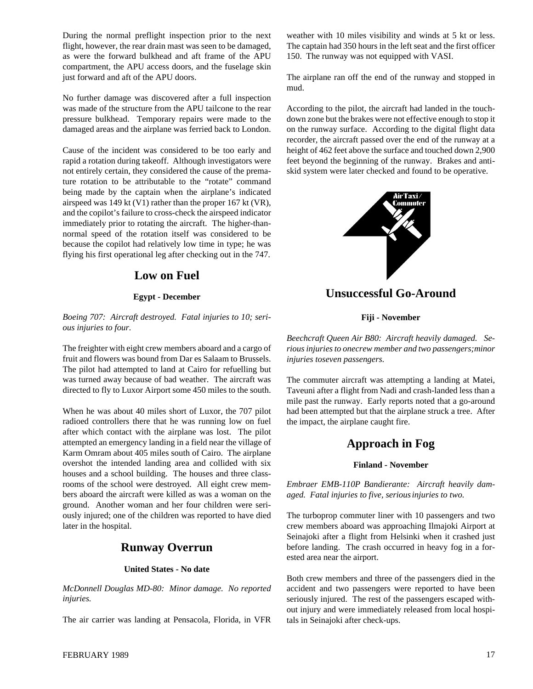During the normal preflight inspection prior to the next flight, however, the rear drain mast was seen to be damaged, as were the forward bulkhead and aft frame of the APU compartment, the APU access doors, and the fuselage skin just forward and aft of the APU doors.

No further damage was discovered after a full inspection was made of the structure from the APU tailcone to the rear pressure bulkhead. Temporary repairs were made to the damaged areas and the airplane was ferried back to London.

Cause of the incident was considered to be too early and rapid a rotation during takeoff. Although investigators were not entirely certain, they considered the cause of the premature rotation to be attributable to the "rotate" command being made by the captain when the airplane's indicated airspeed was 149 kt (V1) rather than the proper 167 kt (VR), and the copilot's failure to cross-check the airspeed indicator immediately prior to rotating the aircraft. The higher-thannormal speed of the rotation itself was considered to be because the copilot had relatively low time in type; he was flying his first operational leg after checking out in the 747.

### **Low on Fuel**

#### **Egypt - December**

*Boeing 707: Aircraft destroyed. Fatal injuries to 10; serious injuries to four.*

The freighter with eight crew members aboard and a cargo of fruit and flowers was bound from Dar es Salaam to Brussels. The pilot had attempted to land at Cairo for refuelling but was turned away because of bad weather. The aircraft was directed to fly to Luxor Airport some 450 miles to the south.

When he was about 40 miles short of Luxor, the 707 pilot radioed controllers there that he was running low on fuel after which contact with the airplane was lost. The pilot attempted an emergency landing in a field near the village of Karm Omram about 405 miles south of Cairo. The airplane overshot the intended landing area and collided with six houses and a school building. The houses and three classrooms of the school were destroyed. All eight crew members aboard the aircraft were killed as was a woman on the ground. Another woman and her four children were seriously injured; one of the children was reported to have died later in the hospital.

#### **Runway Overrun**

#### **United States - No date**

*McDonnell Douglas MD-80: Minor damage. No reported injuries.*

The air carrier was landing at Pensacola, Florida, in VFR

weather with 10 miles visibility and winds at 5 kt or less. The captain had 350 hours in the left seat and the first officer 150. The runway was not equipped with VASI.

The airplane ran off the end of the runway and stopped in mud.

According to the pilot, the aircraft had landed in the touchdown zone but the brakes were not effective enough to stop it on the runway surface. According to the digital flight data recorder, the aircraft passed over the end of the runway at a height of 462 feet above the surface and touched down 2,900 feet beyond the beginning of the runway. Brakes and antiskid system were later checked and found to be operative.



**Unsuccessful Go-Around**

#### **Fiji - November**

*Beechcraft Queen Air B80: Aircraft heavily damaged. Serious injuries to onecrew member and two passengers;minor injuries toseven passengers.*

The commuter aircraft was attempting a landing at Matei, Taveuni after a flight from Nadi and crash-landed less than a mile past the runway. Early reports noted that a go-around had been attempted but that the airplane struck a tree. After the impact, the airplane caught fire.

### **Approach in Fog**

#### **Finland - November**

*Embraer EMB-110P Bandierante: Aircraft heavily damaged. Fatal injuries to five, seriousinjuries to two.*

The turboprop commuter liner with 10 passengers and two crew members aboard was approaching Ilmajoki Airport at Seinajoki after a flight from Helsinki when it crashed just before landing. The crash occurred in heavy fog in a forested area near the airport.

Both crew members and three of the passengers died in the accident and two passengers were reported to have been seriously injured. The rest of the passengers escaped without injury and were immediately released from local hospitals in Seinajoki after check-ups.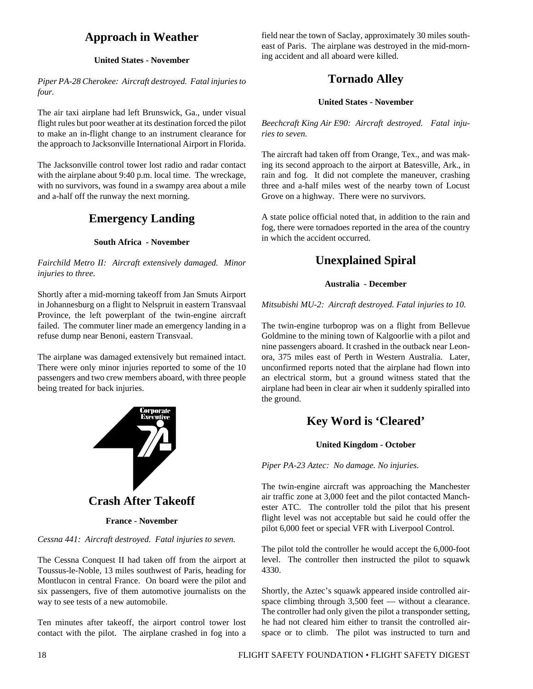# **Approach in Weather**

#### **United States - November**

*Piper PA-28 Cherokee: Aircraft destroyed. Fatal injuries to four.*

The air taxi airplane had left Brunswick, Ga., under visual flight rules but poor weather at its destination forced the pilot to make an in-flight change to an instrument clearance for the approach to Jacksonville International Airport in Florida.

The Jacksonville control tower lost radio and radar contact with the airplane about 9:40 p.m. local time. The wreckage, with no survivors, was found in a swampy area about a mile and a-half off the runway the next morning.

# **Emergency Landing**

#### **South Africa - November**

*Fairchild Metro II: Aircraft extensively damaged. Minor injuries to three.*

Shortly after a mid-morning takeoff from Jan Smuts Airport in Johannesburg on a flight to Nelspruit in eastern Transvaal Province, the left powerplant of the twin-engine aircraft failed. The commuter liner made an emergency landing in a refuse dump near Benoni, eastern Transvaal.

The airplane was damaged extensively but remained intact. There were only minor injuries reported to some of the 10 passengers and two crew members aboard, with three people being treated for back injuries.



# **Crash After Takeoff**

**France - November**

*Cessna 441: Aircraft destroyed. Fatal injuries to seven.*

The Cessna Conquest II had taken off from the airport at Toussus-le-Noble, 13 miles southwest of Paris, heading for Montlucon in central France. On board were the pilot and six passengers, five of them automotive journalists on the way to see tests of a new automobile.

Ten minutes after takeoff, the airport control tower lost contact with the pilot. The airplane crashed in fog into a field near the town of Saclay, approximately 30 miles southeast of Paris. The airplane was destroyed in the mid-morning accident and all aboard were killed.

# **Tornado Alley**

#### **United States - November**

*Beechcraft King Air E90: Aircraft destroyed. Fatal injuries to seven.*

The aircraft had taken off from Orange, Tex., and was making its second approach to the airport at Batesville, Ark., in rain and fog. It did not complete the maneuver, crashing three and a-half miles west of the nearby town of Locust Grove on a highway. There were no survivors.

A state police official noted that, in addition to the rain and fog, there were tornadoes reported in the area of the country in which the accident occurred.

# **Unexplained Spiral**

#### **Australia - December**

#### *Mitsubishi MU-2: Aircraft destroyed. Fatal injuries to 10.*

The twin-engine turboprop was on a flight from Bellevue Goldmine to the mining town of Kalgoorlie with a pilot and nine passengers aboard. It crashed in the outback near Leonora, 375 miles east of Perth in Western Australia. Later, unconfirmed reports noted that the airplane had flown into an electrical storm, but a ground witness stated that the airplane had been in clear air when it suddenly spiralled into the ground.

# **Key Word is 'Cleared'**

#### **United Kingdom - October**

*Piper PA-23 Aztec: No damage. No injuries.*

The twin-engine aircraft was approaching the Manchester air traffic zone at 3,000 feet and the pilot contacted Manchester ATC. The controller told the pilot that his present flight level was not acceptable but said he could offer the pilot 6,000 feet or special VFR with Liverpool Control.

The pilot told the controller he would accept the 6,000-foot level. The controller then instructed the pilot to squawk 4330.

Shortly, the Aztec's squawk appeared inside controlled airspace climbing through 3,500 feet — without a clearance. The controller had only given the pilot a transponder setting, he had not cleared him either to transit the controlled airspace or to climb. The pilot was instructed to turn and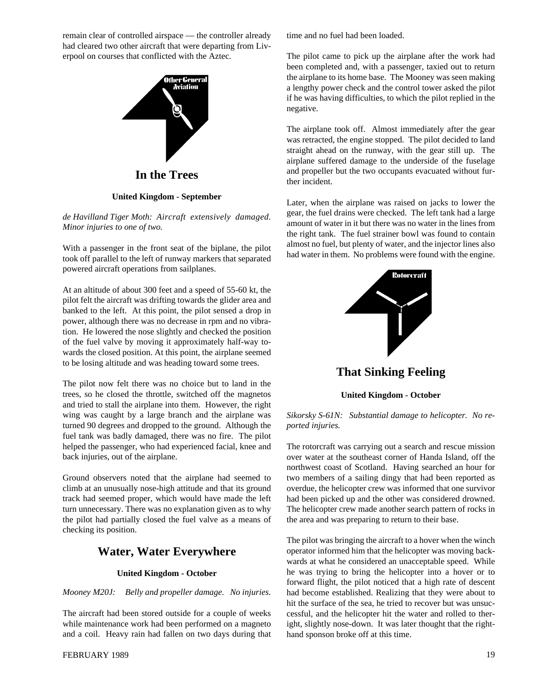remain clear of controlled airspace — the controller already had cleared two other aircraft that were departing from Liverpool on courses that conflicted with the Aztec.



**In the Trees**

#### **United Kingdom - September**

*de Havilland Tiger Moth: Aircraft extensively damaged. Minor injuries to one of two.*

With a passenger in the front seat of the biplane, the pilot took off parallel to the left of runway markers that separated powered aircraft operations from sailplanes.

At an altitude of about 300 feet and a speed of 55-60 kt, the pilot felt the aircraft was drifting towards the glider area and banked to the left. At this point, the pilot sensed a drop in power, although there was no decrease in rpm and no vibration. He lowered the nose slightly and checked the position of the fuel valve by moving it approximately half-way towards the closed position. At this point, the airplane seemed to be losing altitude and was heading toward some trees.

The pilot now felt there was no choice but to land in the trees, so he closed the throttle, switched off the magnetos and tried to stall the airplane into them. However, the right wing was caught by a large branch and the airplane was turned 90 degrees and dropped to the ground. Although the fuel tank was badly damaged, there was no fire. The pilot helped the passenger, who had experienced facial, knee and back injuries, out of the airplane.

Ground observers noted that the airplane had seemed to climb at an unusually nose-high attitude and that its ground track had seemed proper, which would have made the left turn unnecessary. There was no explanation given as to why the pilot had partially closed the fuel valve as a means of checking its position.

### **Water, Water Everywhere**

#### **United Kingdom - October**

*Mooney M20J: Belly and propeller damage. No injuries.*

The aircraft had been stored outside for a couple of weeks while maintenance work had been performed on a magneto and a coil. Heavy rain had fallen on two days during that time and no fuel had been loaded.

The pilot came to pick up the airplane after the work had been completed and, with a passenger, taxied out to return the airplane to its home base. The Mooney was seen making a lengthy power check and the control tower asked the pilot if he was having difficulties, to which the pilot replied in the negative.

The airplane took off. Almost immediately after the gear was retracted, the engine stopped. The pilot decided to land straight ahead on the runway, with the gear still up. The airplane suffered damage to the underside of the fuselage and propeller but the two occupants evacuated without further incident.

Later, when the airplane was raised on jacks to lower the gear, the fuel drains were checked. The left tank had a large amount of water in it but there was no water in the lines from the right tank. The fuel strainer bowl was found to contain almost no fuel, but plenty of water, and the injector lines also had water in them. No problems were found with the engine.



**That Sinking Feeling**

#### **United Kingdom - October**

#### *Sikorsky S-61N: Substantial damage to helicopter. No reported injuries.*

The rotorcraft was carrying out a search and rescue mission over water at the southeast corner of Handa Island, off the northwest coast of Scotland. Having searched an hour for two members of a sailing dingy that had been reported as overdue, the helicopter crew was informed that one survivor had been picked up and the other was considered drowned. The helicopter crew made another search pattern of rocks in the area and was preparing to return to their base.

The pilot was bringing the aircraft to a hover when the winch operator informed him that the helicopter was moving backwards at what he considered an unacceptable speed. While he was trying to bring the helicopter into a hover or to forward flight, the pilot noticed that a high rate of descent had become established. Realizing that they were about to hit the surface of the sea, he tried to recover but was unsuccessful, and the helicopter hit the water and rolled to theright, slightly nose-down. It was later thought that the righthand sponson broke off at this time.